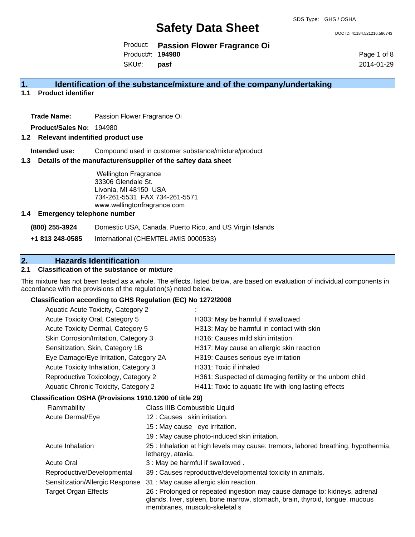DOC ID: 41184.521216.586743

Product: **Passion Flower Fragrance Oi** Product#: **194980**

SKU#: **pasf** Page 1 of 8 2014-01-29

### **1. Identification of the substance/mixture and of the company/undertaking**

**1.1 Product identifier**

**Trade Name:** Passion Flower Fragrance Oi

**Product/Sales No:** 194980

#### **1.2 Relevant indentified product use**

**Intended use:** Compound used in customer substance/mixture/product

#### **1.3 Details of the manufacturer/supplier of the saftey data sheet**

Wellington Fragrance 33306 Glendale St. Livonia, MI 48150 USA 734-261-5531 FAX 734-261-5571 www.wellingtonfragrance.com

#### **1.4 Emergency telephone number**

**(800) 255-3924** Domestic USA, Canada, Puerto Rico, and US Virgin Islands

**+1 813 248-0585** International (CHEMTEL #MIS 0000533)

## **2. Hazards Identification**

### **2.1 Classification of the substance or mixture**

This mixture has not been tested as a whole. The effects, listed below, are based on evaluation of individual components in accordance with the provisions of the regulation(s) noted below.

#### **Classification according to GHS Regulation (EC) No 1272/2008**

| Aquatic Acute Toxicity, Category 2     |                                                           |
|----------------------------------------|-----------------------------------------------------------|
| Acute Toxicity Oral, Category 5        | H303: May be harmful if swallowed                         |
| Acute Toxicity Dermal, Category 5      | H313: May be harmful in contact with skin                 |
| Skin Corrosion/Irritation, Category 3  | H316: Causes mild skin irritation                         |
| Sensitization, Skin, Category 1B       | H317: May cause an allergic skin reaction                 |
| Eye Damage/Eye Irritation, Category 2A | H319: Causes serious eye irritation                       |
| Acute Toxicity Inhalation, Category 3  | H331: Toxic if inhaled                                    |
| Reproductive Toxicology, Category 2    | H361: Suspected of damaging fertility or the unborn child |
| Aquatic Chronic Toxicity, Category 2   | H411: Toxic to aquatic life with long lasting effects     |
| .                                      |                                                           |

#### **Classification OSHA (Provisions 1910.1200 of title 29)**

| Flammability                    | Class IIIB Combustible Liquid                                                                                                                                                              |
|---------------------------------|--------------------------------------------------------------------------------------------------------------------------------------------------------------------------------------------|
| Acute Dermal/Eye                | 12: Causes skin irritation.                                                                                                                                                                |
|                                 | 15 : May cause eye irritation.                                                                                                                                                             |
|                                 | 19 : May cause photo-induced skin irritation.                                                                                                                                              |
| Acute Inhalation                | 25 : Inhalation at high levels may cause: tremors, labored breathing, hypothermia,<br>lethargy, ataxia.                                                                                    |
| <b>Acute Oral</b>               | 3: May be harmful if swallowed.                                                                                                                                                            |
| Reproductive/Developmental      | 39 : Causes reproductive/developmental toxicity in animals.                                                                                                                                |
| Sensitization/Allergic Response | 31 : May cause allergic skin reaction.                                                                                                                                                     |
| <b>Target Organ Effects</b>     | 26 : Prolonged or repeated ingestion may cause damage to: kidneys, adrenal<br>glands, liver, spleen, bone marrow, stomach, brain, thyroid, tongue, mucous<br>membranes, musculo-skeletal s |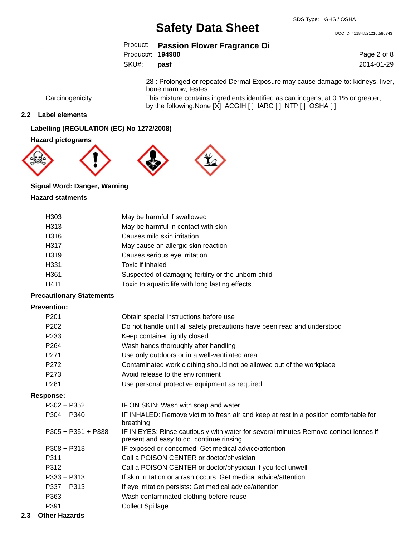DOC ID: 41184.521216.586743

|                   | Product: Passion Flower Fragrance Oi |
|-------------------|--------------------------------------|
| Product#: 194980  |                                      |
| SKU#: <b>pasf</b> |                                      |

Page 2 of 8 2014-01-29

28 : Prolonged or repeated Dermal Exposure may cause damage to: kidneys, liver, bone marrow, testes Carcinogenicity This mixture contains ingredients identified as carcinogens, at 0.1% or greater,

by the following:None [X] ACGIH [ ] IARC [ ] NTP [ ] OSHA [ ]

#### **2.2 Label elements**

**Labelling (REGULATION (EC) No 1272/2008)**

#### **Hazard pictograms**







## **Signal Word: Danger, Warning**

#### **Hazard statments**

| H <sub>303</sub> | May be harmful if swallowed                         |
|------------------|-----------------------------------------------------|
| H313             | May be harmful in contact with skin                 |
| H316             | Causes mild skin irritation                         |
| H317             | May cause an allergic skin reaction                 |
| H319             | Causes serious eye irritation                       |
| H331             | Toxic if inhaled                                    |
| H361             | Suspected of damaging fertility or the unborn child |
| H411             | Toxic to aquatic life with long lasting effects     |

#### **Precautionary Statements**

### **Prevention:**

| P <sub>201</sub>     | Obtain special instructions before use                                                                                           |
|----------------------|----------------------------------------------------------------------------------------------------------------------------------|
| P <sub>202</sub>     | Do not handle until all safety precautions have been read and understood                                                         |
| P <sub>233</sub>     | Keep container tightly closed                                                                                                    |
| P <sub>264</sub>     | Wash hands thoroughly after handling                                                                                             |
| P <sub>271</sub>     | Use only outdoors or in a well-ventilated area                                                                                   |
| P272                 | Contaminated work clothing should not be allowed out of the workplace                                                            |
| P273                 | Avoid release to the environment                                                                                                 |
| P <sub>281</sub>     | Use personal protective equipment as required                                                                                    |
| Response:            |                                                                                                                                  |
| $P302 + P352$        | IF ON SKIN: Wash with soap and water                                                                                             |
| $P304 + P340$        | IF INHALED: Remove victim to fresh air and keep at rest in a position comfortable for<br>breathing                               |
| $P305 + P351 + P338$ | IF IN EYES: Rinse cautiously with water for several minutes Remove contact lenses if<br>present and easy to do. continue rinsing |
| $P308 + P313$        | IF exposed or concerned: Get medical advice/attention                                                                            |
| P311                 | Call a POISON CENTER or doctor/physician                                                                                         |
| P312                 | Call a POISON CENTER or doctor/physician if you feel unwell                                                                      |
| $P333 + P313$        | If skin irritation or a rash occurs: Get medical advice/attention                                                                |
| $P337 + P313$        | If eye irritation persists: Get medical advice/attention                                                                         |
| P363                 | Wash contaminated clothing before reuse                                                                                          |
| P391                 | <b>Collect Spillage</b>                                                                                                          |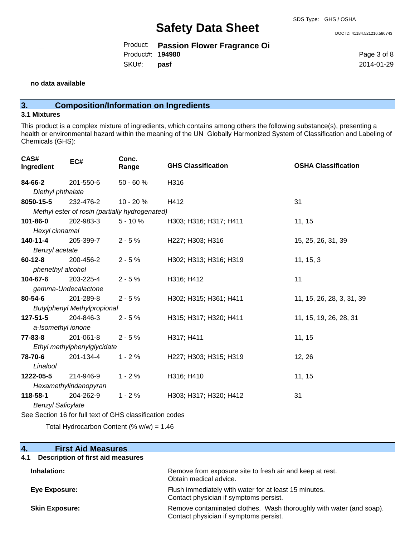Product: **Passion Flower Fragrance Oi** SKU#: Product#: **194980 pasf**

DOC ID: 41184.521216.586743

Page 3 of 8 2014-01-29

#### **no data available**

## **3. Composition/Information on Ingredients**

#### **3.1 Mixtures**

This product is a complex mixture of ingredients, which contains among others the following substance(s), presenting a health or environmental hazard within the meaning of the UN Globally Harmonized System of Classification and Labeling of Chemicals (GHS):

| CAS#<br>Ingredient                 | EC#                         | Conc.<br>Range                                           | <b>GHS Classification</b> | <b>OSHA Classification</b> |
|------------------------------------|-----------------------------|----------------------------------------------------------|---------------------------|----------------------------|
| 84-66-2                            | 201-550-6                   | $50 - 60%$                                               | H316                      |                            |
| Diethyl phthalate                  |                             |                                                          |                           |                            |
| 8050-15-5                          | 232-476-2                   | 10 - 20 %                                                | H412                      | 31                         |
|                                    |                             | Methyl ester of rosin (partially hydrogenated)           |                           |                            |
| 101-86-0                           | 202-983-3                   | $5 - 10%$                                                | H303; H316; H317; H411    | 11, 15                     |
| Hexyl cinnamal                     |                             |                                                          |                           |                            |
| 140-11-4                           | 205-399-7                   | $2 - 5%$                                                 | H227; H303; H316          | 15, 25, 26, 31, 39         |
| Benzyl acetate                     |                             |                                                          |                           |                            |
| $60 - 12 - 8$                      | 200-456-2                   | $2 - 5%$                                                 | H302; H313; H316; H319    | 11, 15, 3                  |
| phenethyl alcohol                  |                             |                                                          |                           |                            |
| 104-67-6                           | 203-225-4                   | $2 - 5%$                                                 | H316; H412                | 11                         |
|                                    | gamma-Undecalactone         |                                                          |                           |                            |
| 80-54-6                            | 201-289-8                   | $2 - 5%$                                                 | H302; H315; H361; H411    | 11, 15, 26, 28, 3, 31, 39  |
| <b>Butylphenyl Methylpropional</b> |                             |                                                          |                           |                            |
| 127-51-5                           | 204-846-3                   | $2 - 5%$                                                 | H315; H317; H320; H411    | 11, 15, 19, 26, 28, 31     |
| a-Isomethyl ionone                 |                             |                                                          |                           |                            |
| 77-83-8                            | 201-061-8                   | $2 - 5%$                                                 | H317; H411                | 11, 15                     |
|                                    | Ethyl methylphenylglycidate |                                                          |                           |                            |
| 78-70-6                            | 201-134-4                   | $1 - 2%$                                                 | H227; H303; H315; H319    | 12, 26                     |
| Linalool                           |                             |                                                          |                           |                            |
| 1222-05-5                          | 214-946-9                   | $1 - 2%$                                                 | H316; H410                | 11, 15                     |
|                                    | Hexamethylindanopyran       |                                                          |                           |                            |
| 118-58-1                           | 204-262-9                   | $1 - 2%$                                                 | H303; H317; H320; H412    | 31                         |
| <b>Benzyl Salicylate</b>           |                             |                                                          |                           |                            |
|                                    |                             | See Section 16 for full text of GHS classification codes |                           |                            |

Total Hydrocarbon Content (%  $w/w$ ) = 1.46

**4. First Aid Measures**

| Description of first aid measures<br>4.1 |                                                                                                               |
|------------------------------------------|---------------------------------------------------------------------------------------------------------------|
| Inhalation:                              | Remove from exposure site to fresh air and keep at rest.<br>Obtain medical advice.                            |
| Eye Exposure:                            | Flush immediately with water for at least 15 minutes.<br>Contact physician if symptoms persist.               |
| <b>Skin Exposure:</b>                    | Remove contaminated clothes. Wash thoroughly with water (and soap).<br>Contact physician if symptoms persist. |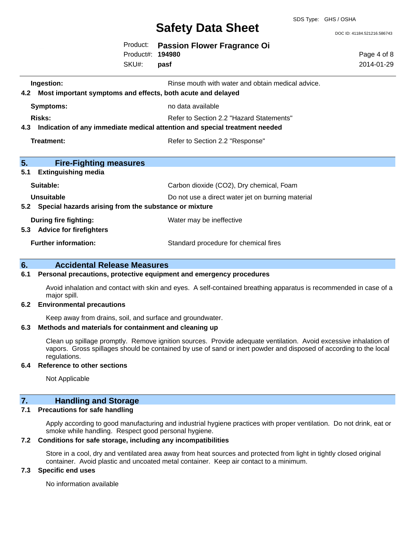### SDS Type: GHS / OSHA

## **Safety Data Sheet**

DOC ID: 41184.521216.586743

|     |                                                       | Product:<br>Product#: | <b>Passion Flower Fragrance Oi</b><br>194980                               | Page 4 of 8 |
|-----|-------------------------------------------------------|-----------------------|----------------------------------------------------------------------------|-------------|
|     |                                                       | SKU#:                 | pasf                                                                       | 2014-01-29  |
|     | Ingestion:                                            |                       | Rinse mouth with water and obtain medical advice.                          |             |
| 4.2 |                                                       |                       | Most important symptoms and effects, both acute and delayed                |             |
|     | <b>Symptoms:</b>                                      |                       | no data available                                                          |             |
|     | Risks:                                                |                       | Refer to Section 2.2 "Hazard Statements"                                   |             |
| 4.3 |                                                       |                       | Indication of any immediate medical attention and special treatment needed |             |
|     | <b>Treatment:</b>                                     |                       | Refer to Section 2.2 "Response"                                            |             |
|     |                                                       |                       |                                                                            |             |
| 5.  | <b>Fire-Fighting measures</b>                         |                       |                                                                            |             |
| 5.1 | <b>Extinguishing media</b>                            |                       |                                                                            |             |
|     | Suitable:                                             |                       | Carbon dioxide (CO2), Dry chemical, Foam                                   |             |
|     | <b>Unsuitable</b>                                     |                       | Do not use a direct water jet on burning material                          |             |
| 5.2 | Special hazards arising from the substance or mixture |                       |                                                                            |             |
|     | <b>During fire fighting:</b>                          |                       | Water may be ineffective                                                   |             |
| 5.3 | <b>Advice for firefighters</b>                        |                       |                                                                            |             |
|     | <b>Further information:</b>                           |                       | Standard procedure for chemical fires                                      |             |
| 6.  | <b>Accidental Release Measures</b>                    |                       |                                                                            |             |

## **6.1 Personal precautions, protective equipment and emergency procedures**

Avoid inhalation and contact with skin and eyes. A self-contained breathing apparatus is recommended in case of a major spill.

#### **6.2 Environmental precautions**

Keep away from drains, soil, and surface and groundwater.

### **6.3 Methods and materials for containment and cleaning up**

Clean up spillage promptly. Remove ignition sources. Provide adequate ventilation. Avoid excessive inhalation of vapors. Gross spillages should be contained by use of sand or inert powder and disposed of according to the local regulations.

#### **6.4 Reference to other sections**

Not Applicable

## **7. Handling and Storage**

### **7.1 Precautions for safe handling**

Apply according to good manufacturing and industrial hygiene practices with proper ventilation. Do not drink, eat or smoke while handling. Respect good personal hygiene.

#### **7.2 Conditions for safe storage, including any incompatibilities**

Store in a cool, dry and ventilated area away from heat sources and protected from light in tightly closed original container. Avoid plastic and uncoated metal container. Keep air contact to a minimum.

#### **7.3 Specific end uses**

No information available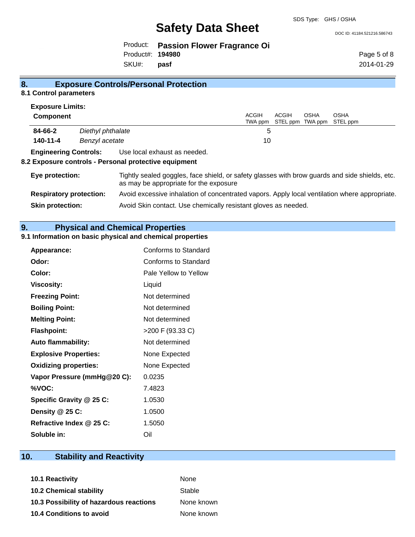SDS Type: GHS / OSHA

DOC ID: 41184.521216.586743

Product: **Passion Flower Fragrance Oi** SKU#: Product#: **194980 pasf**

Page 5 of 8 2014-01-29

## **8. Exposure Controls/Personal Protection**

#### **8.1 Control parameters Exposure Limits:**

| <b>Exposure Limits:</b>        |                   |                                                                                                                                          |                         |       |                                 |                         |
|--------------------------------|-------------------|------------------------------------------------------------------------------------------------------------------------------------------|-------------------------|-------|---------------------------------|-------------------------|
| <b>Component</b>               |                   |                                                                                                                                          | <b>ACGIH</b><br>TWA ppm | ACGIH | <b>OSHA</b><br>STEL ppm TWA ppm | <b>OSHA</b><br>STEL ppm |
| 84-66-2                        | Diethyl phthalate |                                                                                                                                          | 5                       |       |                                 |                         |
| 140-11-4                       | Benzyl acetate    |                                                                                                                                          | 10                      |       |                                 |                         |
| <b>Engineering Controls:</b>   |                   | Use local exhaust as needed.<br>8.2 Exposure controls - Personal protective equipment                                                    |                         |       |                                 |                         |
| Eye protection:                |                   | Tightly sealed goggles, face shield, or safety glasses with brow guards and side shields, etc.<br>as may be appropriate for the exposure |                         |       |                                 |                         |
| <b>Respiratory protection:</b> |                   | Avoid excessive inhalation of concentrated vapors. Apply local ventilation where appropriate.                                            |                         |       |                                 |                         |
| <b>Skin protection:</b>        |                   | Avoid Skin contact. Use chemically resistant gloves as needed.                                                                           |                         |       |                                 |                         |

**9. Physical and Chemical Properties**

#### **9.1 Information on basic physical and chemical properties**

| Appearance:                  | Conforms to Standard  |
|------------------------------|-----------------------|
| Odor:                        | Conforms to Standard  |
| Color:                       | Pale Yellow to Yellow |
| <b>Viscosity:</b>            | Liquid                |
| <b>Freezing Point:</b>       | Not determined        |
| <b>Boiling Point:</b>        | Not determined        |
| <b>Melting Point:</b>        | Not determined        |
| <b>Flashpoint:</b>           | >200 F (93.33 C)      |
| <b>Auto flammability:</b>    | Not determined        |
| <b>Explosive Properties:</b> | None Expected         |
| <b>Oxidizing properties:</b> | None Expected         |
| Vapor Pressure (mmHg@20 C):  | 0.0235                |
| %VOC:                        | 7.4823                |
| Specific Gravity @ 25 C:     | 1.0530                |
| Density @ 25 C:              | 1.0500                |
| Refractive Index @ 25 C:     | 1.5050                |
| Soluble in:                  | Oil                   |

## **10. Stability and Reactivity**

| 10.1 Reactivity                         | None       |
|-----------------------------------------|------------|
| <b>10.2 Chemical stability</b>          | Stable     |
| 10.3 Possibility of hazardous reactions | None known |
| 10.4 Conditions to avoid                | None known |
|                                         |            |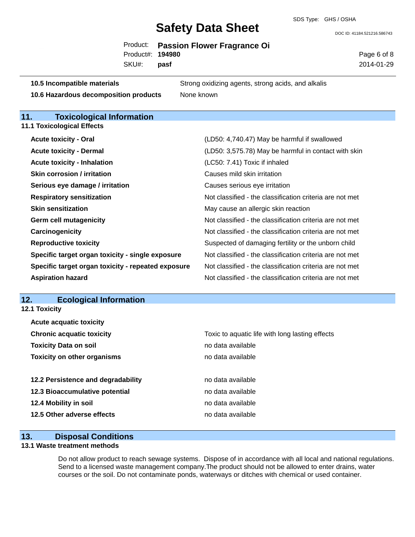DOC ID: 41184.521216.586743

|                   | Product: Passion Flower Fragrance Oi |
|-------------------|--------------------------------------|
| Product#: 194980  |                                      |
| SKU#: <b>pasf</b> |                                      |

Page 6 of 8 2014-01-29

| 10.5 Incompatible materials           | Strong oxidizing agents, strong acids, and alkalis |
|---------------------------------------|----------------------------------------------------|
| 10.6 Hazardous decomposition products | None known                                         |

## **11. Toxicological Information**

**11.1 Toxicological Effects**

| <b>Acute toxicity - Oral</b>                       | (LD50: 4,740.47) May be harmful if swallowed             |
|----------------------------------------------------|----------------------------------------------------------|
| <b>Acute toxicity - Dermal</b>                     | (LD50: 3,575.78) May be harmful in contact with skin     |
| <b>Acute toxicity - Inhalation</b>                 | (LC50: 7.41) Toxic if inhaled                            |
| <b>Skin corrosion / irritation</b>                 | Causes mild skin irritation                              |
| Serious eye damage / irritation                    | Causes serious eye irritation                            |
| <b>Respiratory sensitization</b>                   | Not classified - the classification criteria are not met |
| <b>Skin sensitization</b>                          | May cause an allergic skin reaction                      |
| <b>Germ cell mutagenicity</b>                      | Not classified - the classification criteria are not met |
| Carcinogenicity                                    | Not classified - the classification criteria are not met |
| <b>Reproductive toxicity</b>                       | Suspected of damaging fertility or the unborn child      |
| Specific target organ toxicity - single exposure   | Not classified - the classification criteria are not met |
| Specific target organ toxicity - repeated exposure | Not classified - the classification criteria are not met |
| <b>Aspiration hazard</b>                           | Not classified - the classification criteria are not met |

## **12. Ecological Information**

| .<br>LUUIUGIUGI IIIIUI IIIGUUII<br>12.1 Toxicity |                                                 |
|--------------------------------------------------|-------------------------------------------------|
| <b>Acute acquatic toxicity</b>                   |                                                 |
| <b>Chronic acquatic toxicity</b>                 | Toxic to aquatic life with long lasting effects |
| <b>Toxicity Data on soil</b>                     | no data available                               |
| <b>Toxicity on other organisms</b>               | no data available                               |
| 12.2 Persistence and degradability               | no data available                               |
| 12.3 Bioaccumulative potential                   | no data available                               |
| 12.4 Mobility in soil                            | no data available                               |
| 12.5 Other adverse effects                       | no data available                               |
|                                                  |                                                 |

## **13. Disposal Conditions**

### **13.1 Waste treatment methods**

Do not allow product to reach sewage systems. Dispose of in accordance with all local and national regulations. Send to a licensed waste management company.The product should not be allowed to enter drains, water courses or the soil. Do not contaminate ponds, waterways or ditches with chemical or used container.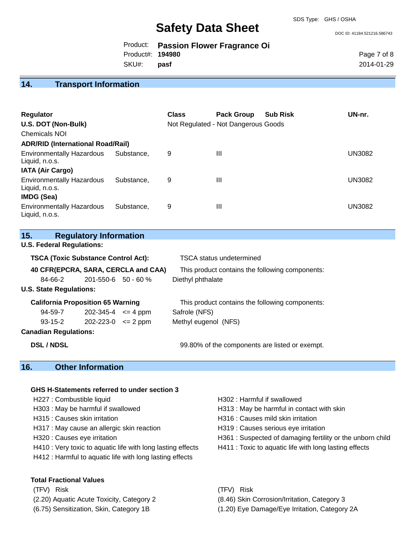DOC ID: 41184.521216.586743

|                   | Product: Passion Flower Fragrance Oi |
|-------------------|--------------------------------------|
| Product#: 194980  |                                      |
| SKU#: <b>pasf</b> |                                      |

Page 7 of 8 2014-01-29

## **14. Transport Information**

| <b>Regulator</b><br>U.S. DOT (Non-Bulk)<br>Chemicals NOI<br><b>ADR/RID (International Road/Rail)</b> |            | <b>Class</b> | <b>Pack Group</b><br>Not Regulated - Not Dangerous Goods | <b>Sub Risk</b> | UN-nr.        |
|------------------------------------------------------------------------------------------------------|------------|--------------|----------------------------------------------------------|-----------------|---------------|
| <b>Environmentally Hazardous</b>                                                                     | Substance. | 9            | Ш                                                        |                 | <b>UN3082</b> |
| Liquid, n.o.s.<br><b>IATA (Air Cargo)</b>                                                            |            |              |                                                          |                 |               |
| <b>Environmentally Hazardous</b><br>Liquid, n.o.s.                                                   | Substance. | 9            | Ш                                                        |                 | <b>UN3082</b> |
| <b>IMDG (Sea)</b>                                                                                    |            |              |                                                          |                 |               |
| <b>Environmentally Hazardous</b><br>Liquid, n.o.s.                                                   | Substance. | 9            | Ш                                                        |                 | <b>UN3082</b> |

| 15. | <b>Regulatory Information</b> |
|-----|-------------------------------|
|-----|-------------------------------|

**U.S. Federal Regulations:**

| <b>TSCA (Toxic Substance Control Act):</b> |                            | <b>TSCA</b> status undetermined                 |  |
|--------------------------------------------|----------------------------|-------------------------------------------------|--|
| 40 CFR(EPCRA, SARA, CERCLA and CAA)        |                            | This product contains the following components: |  |
| 84-66-2                                    | $201 - 550 - 6$ 50 - 60 %  | Diethyl phthalate                               |  |
| <b>U.S. State Regulations:</b>             |                            |                                                 |  |
|                                            |                            |                                                 |  |
| <b>California Proposition 65 Warning</b>   |                            | This product contains the following components: |  |
| 94-59-7                                    | $202 - 345 - 4 \leq 4$ ppm | Safrole (NFS)                                   |  |
| 93-15-2                                    | $202 - 223 - 0 \leq 2$ ppm | Methyl eugenol (NFS)                            |  |

**DSL / NDSL** 99.80% of the components are listed or exempt.

### **16. Other Information**

#### **GHS H-Statements referred to under section 3**

- 
- 
- H317 : May cause an allergic skin reaction **H319** : Causes serious eye irritation
- 
- H410 : Very toxic to aquatic life with long lasting effects H411 : Toxic to aquatic life with long lasting effects
- H412 : Harmful to aquatic life with long lasting effects

#### **Total Fractional Values**

- (2.20) Aquatic Acute Toxicity, Category 2 (8.46) Skin Corrosion/Irritation, Category 3
- 
- H227 : Combustible liquid **H302** : Harmful if swallowed H303 : May be harmful if swallowed H313 : May be harmful in contact with skin H315 : Causes skin irritation et al. (a) H316 : Causes mild skin irritation H320 : Causes eye irritation **H361** : Suspected of damaging fertility or the unborn child
- (TFV) Risk (TFV) Risk
	-
- (6.75) Sensitization, Skin, Category 1B (1.20) Eye Damage/Eye Irritation, Category 2A